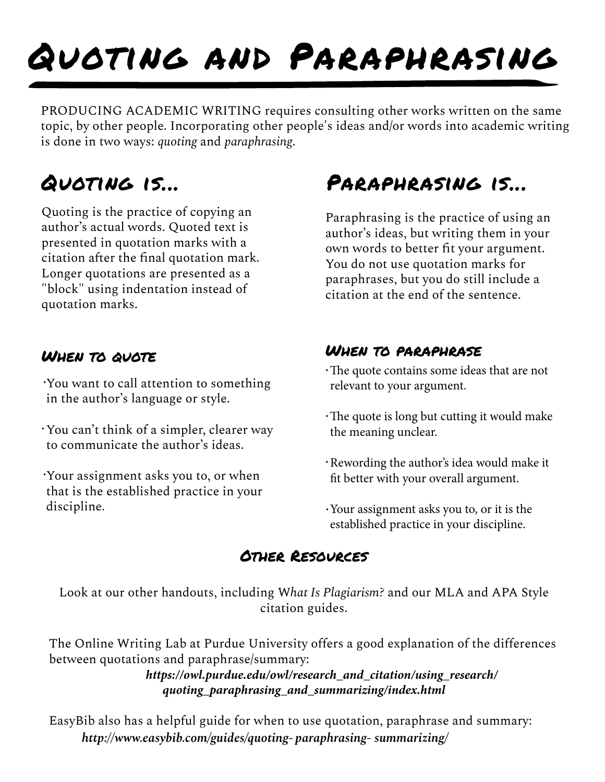# Quoting and Paraphrasing

PRODUCING ACADEMIC WRITING requires consulting other works written on the same topic, by other people. Incorporating other people's ideas and/or words into academic writing is done in two ways: *quoting* and *paraphrasing*.

Quoting is the practice of copying an author's actual words. Quoted text is presented in quotation marks with a citation after the final quotation mark. Longer quotations are presented as a "block" using indentation instead of quotation marks.

You want to call attention to something in the author's language or style. .

- You can't think of a simpler, clearer way to communicate the author's ideas. .
- Your assignment asks you to, or when that is the established practice in your discipline. .

## Quoting is... Paraphrasing is...

Paraphrasing is the practice of using an author's ideas, but writing them in your own words to better fit your argument. You do not use quotation marks for paraphrases, but you do still include a citation at the end of the sentence.

### When to quote When to paraphrase

- The quote contains some ideas that are not relevant to your argument. .
- The quote is long but cutting it would make the meaning unclear. .
- Rewording the author's idea would make it fit better with your overall argument. .
- Your assignment asks you to, or it is the established practice in your discipline. .

### Other Resources

Look at our other handouts, including W*hat Is Plagiarism?* and our MLA and APA Style citation guides.

The Online Writing Lab at Purdue University offers a good explanation of the differences between quotations and paraphrase/summary:

*[https://owl.purdue.edu/owl/research\\_and\\_citation/using\\_research/](https://owl.purdue.edu/owl/research_and_citation/using_research/quoting_paraphrasing_and_summarizing/index.html) quoting\_paraphrasing\_and\_summarizing/index.html*

EasyBib also has a helpful guide for when to use quotation, paraphrase and summary: *http://www.easybib.com/guides/quoting- paraphrasing- summarizing/*